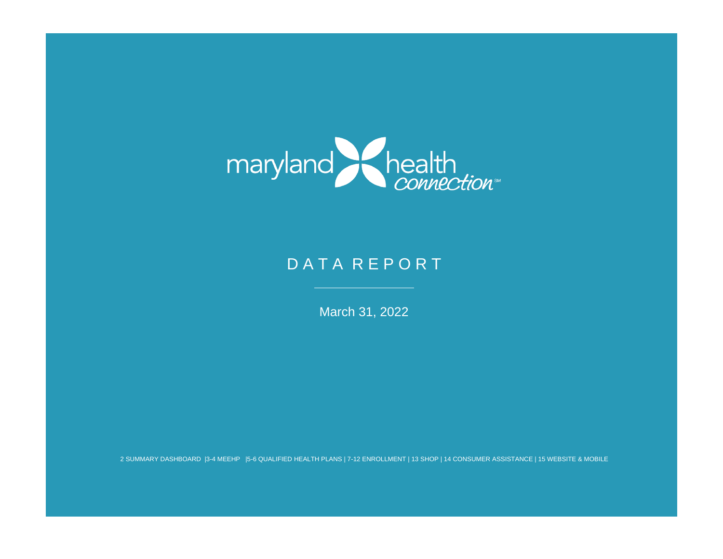

# DATA REPORT

March 31, 2022

2 SUMMARY DASHBOARD |3-4 MEEHP |5-6 QUALIFIED HEALTH PLANS | 7-12 ENROLLMENT | 13 SHOP | 14 CONSUMER ASSISTANCE | 15 WEBSITE & MOBILE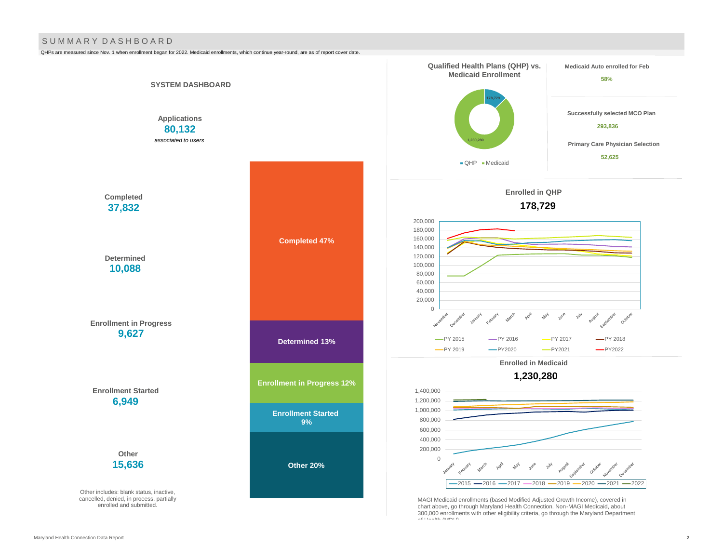#### S U M M A R Y D A S H B O A R D

QHPs are measured since Nov. 1 when enrollment began for 2022. Medicaid enrollments, which continue year-round, are as of report cover date.

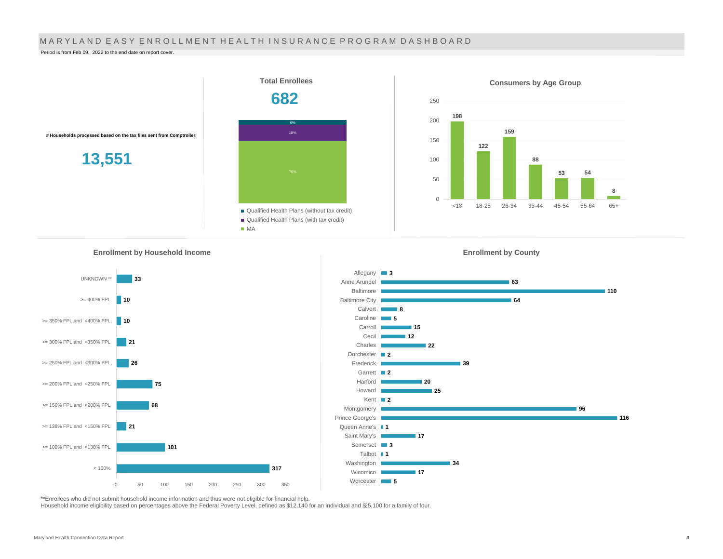#### MARYLAND EASY ENROLLMENT HEALTH INSURANCE PROGRAM DASHBOARD

Period is from Feb 09, 2022 to the end date on report cover.

![](_page_2_Figure_2.jpeg)

Allegany **3** 

Anne Arundel Baltimore

Worcester **5** 

**Enrollment by Household Income** 

![](_page_2_Figure_4.jpeg)

![](_page_2_Figure_5.jpeg)

![](_page_2_Figure_6.jpeg)

**63**

**Enrollment by County**

**110**

\*\*Enrollees who did not submit household income information and thus were not eligible for financial help.

Household income eligibility based on percentages above the Federal Poverty Level, defined as \$12,140 for an individual and \$25,100 for a family of four.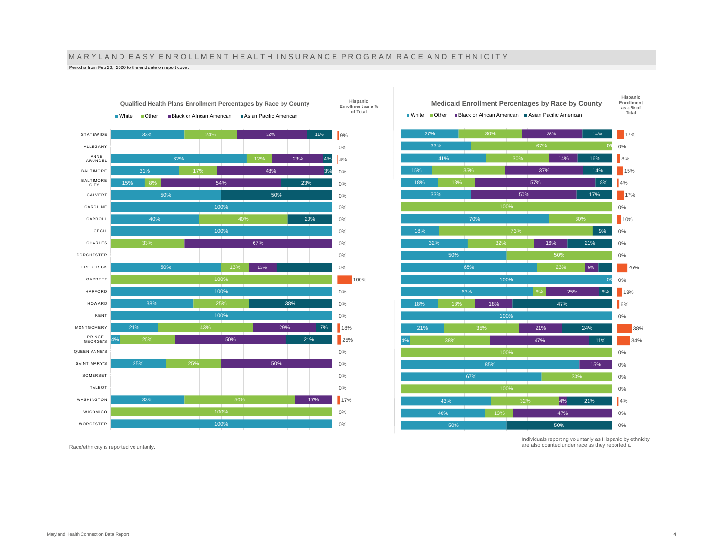# M A R Y L A N D E A S Y E N R O L L M E N T H E A L T H I N S U R A N C E P R O G R A M R A C E A N D E T H N I C I T Y

**Hispanic Enrollment as a % of Total**

Period is from Feb 26, 2020 to the end date on report cover.

![](_page_3_Figure_2.jpeg)

**Qualified Health Plans Enrollment Percentages by Race by County** ■ White ■ Other ■ Black or African American ■ Asian Pacific American

 $17%$ 0% 8% 15%  $4%$ 17% 0% 10% 0% 0% 0% 26% 0% 13%  $\overline{6\%}$ 0% 38% 34% 0% 0% 0% 0%  $4%$ 0% 0% **as a % of Total** 27% 33% 41% 15% 18% 33% 70% 18% 32% 50% 65% 100% 18% 21% 4% 85% 67% 43% 50% 67% 32% 38% 28% 0% 14% 37% 57% 50% 16% 6% 0% 25% 18% 21% 47% 15% 4% 47% 14% 16% 14% 8% 17% 9% 21% 6% 47% 24% 11% 21% 50% **Medicaid Enrollment Percentages by Race by County**  $\blacksquare$  White  $\blacksquare$  Other  $\blacksquare$  Black or African American  $\blacksquare$  Asian Pacific American

Race/ethnicity is reported voluntarily.

Individuals reporting voluntarily as Hispanic by ethnicity are also counted under race as they reported it.

**Hispanic Enrollment**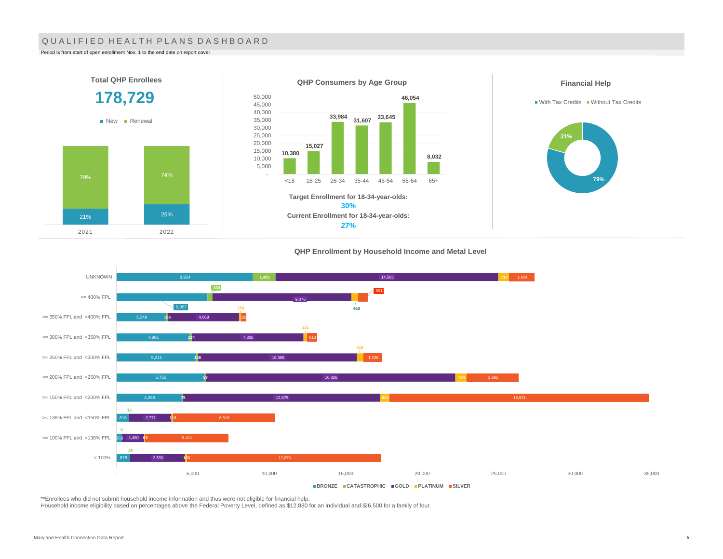#### QUALIFIED HEALTH PLANS DASHBOARD

Period is from start of open enrollment Nov. 1 to the end date on report cover.

2021 2022

![](_page_4_Figure_2.jpeg)

#### **QHP Enrollment by Household Income and Metal Level**

![](_page_4_Figure_4.jpeg)

\*\*Enrollees who did not submit household income information and thus were not eligible for financial help.

Household income eligibility based on percentages above the Federal Poverty Level, defined as \$12,880 for an individual and \$26,500 for a family of four.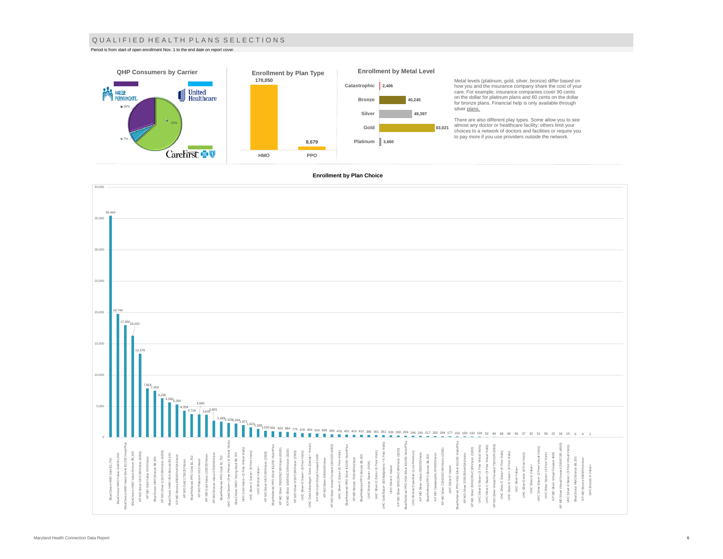#### Q U A L I F I E D H E A L T H P L A N S S E L E C T I O N S

Period is from start of open enrollment Nov. 1 to the end date on report cover.

![](_page_5_Figure_2.jpeg)

Metal levels (platinum, gold, silver, bronze) differ based on how you and the insurance company share the cost of your care. For example, insurance companies cover 90 cents on the dollar for platinum plans and 60 cents on the dollar for bronze plans. Financial help is only available through

There are also different play types. Some allow you to see<br>almost any doctor or healthcare facility; others limit your<br>choices to a network of doctors and facilities or require you<br>to pay more if you use providers outside

#### **Enrollment by Plan Choice**

![](_page_5_Figure_6.jpeg)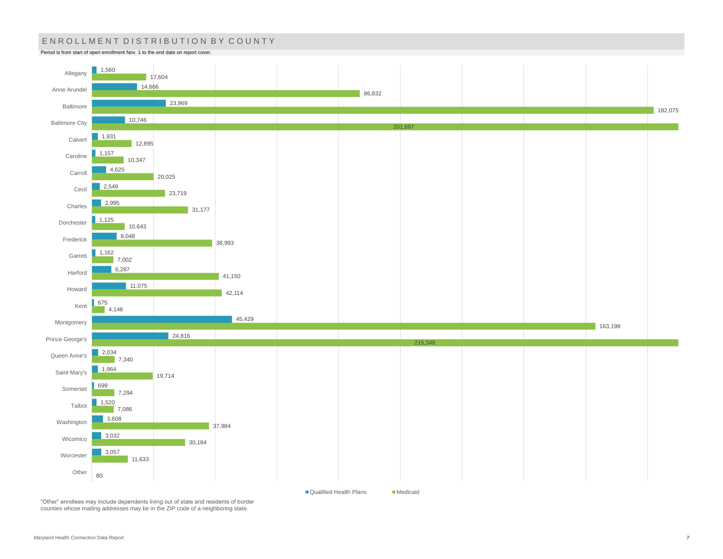# ENROLLMENT DISTRIBUTION BY COUNTY

Period is from start of open enrollment Nov. 1 to the end date on report cover.

![](_page_6_Figure_2.jpeg)

"Other" enrollees may include dependents living out of state and residents of border counties whose mailing addresses may be in the ZIP code of a neighboring state.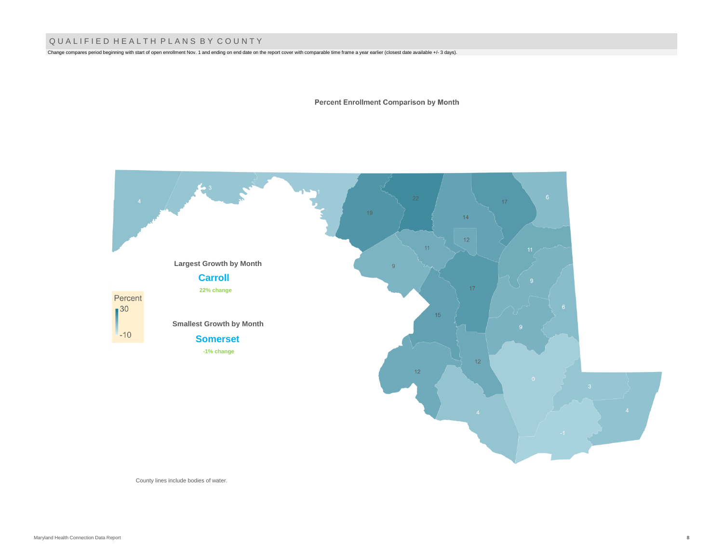## Q U A L I F I E D H E A L T H P L A N S B Y C O U N T Y

Change compares period beginning with start of open enrollment Nov. 1 and ending on end date on the report cover with comparable time frame a year earlier (closest date available +/- 3 days).

**Percent Enrollment Comparison by Month** 

![](_page_7_Figure_3.jpeg)

County lines include bodies of water.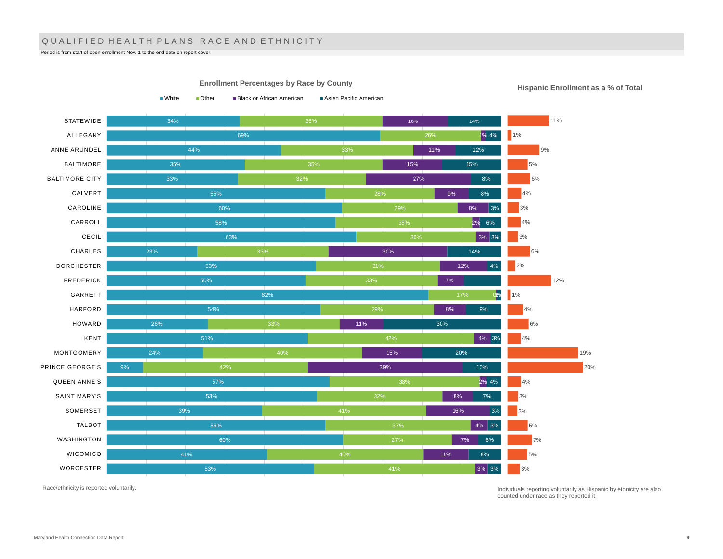## QUALIFIED HEALTH PLANS RACE AND ETHNICITY

Period is from start of open enrollment Nov. 1 to the end date on report cover.

34% 69% 44% 35% 33% 55% 60% 58% 63% 23% 53% 50% 82% 54% 26% 51% 24% 9% 57% 53% 39% 56% 60% 41% 53% 32% 28% 30% 29% 42% 42% 32% 37% 27% 40% 41% 16% 1% 4% 11% 15% 27% 9% 8% 2% 6% 3% 3% 30% 12% 0% 1% 8% 11% 4% 3% 15% 39% 2% 4% 8% 16% 4% 3% 7% 11% 3% 3% 14% 12% 15% 8% 8% 3% 14% 4% 9% 30% 20% 10% 7% 3% 6% 8% **STATEWIDE** ALLEGANY ANNE ARUNDEL BALTIMORE BALTIMORE CITY CALVERT CAROLINE CARROLL CECIL CHARLES DORCHESTER FREDERICK GARRETT HARFORD HOWARD KENT MONTGOMERY PRINCE GEORGE'S QUEEN ANNE'S SAINT MARY'S SOMERSET TALBOT WASHINGTON WICOMICO WORCESTER ■White ■ Other ■ Black or African American ■ Asian Pacific American 11% 1% 9% 5% 6% 4% 3% 4% 3% 6% 2% 12%  $1%$ 4% 6%  $4%$ 19% 20% 4% 3% 3% 5% 7% 5% 3%

**Enrollment Percentages by Race by County**

**Hispanic Enrollment as a % of Total**

Race/ethnicity is reported voluntarily.

Individuals reporting voluntarily as Hispanic by ethnicity are also counted under race as they reported it.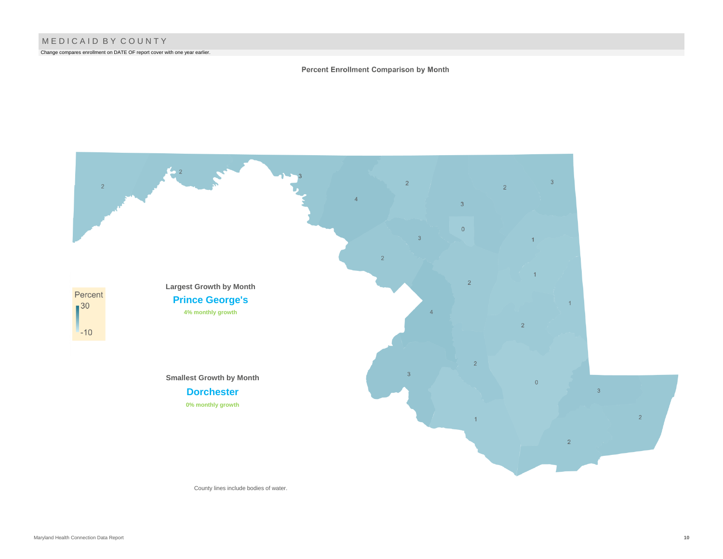Change compares enrollment on DATE OF report cover with one year earlier.

#### Percent Enrollment Comparison by Month

![](_page_9_Figure_3.jpeg)

County lines include bodies of water.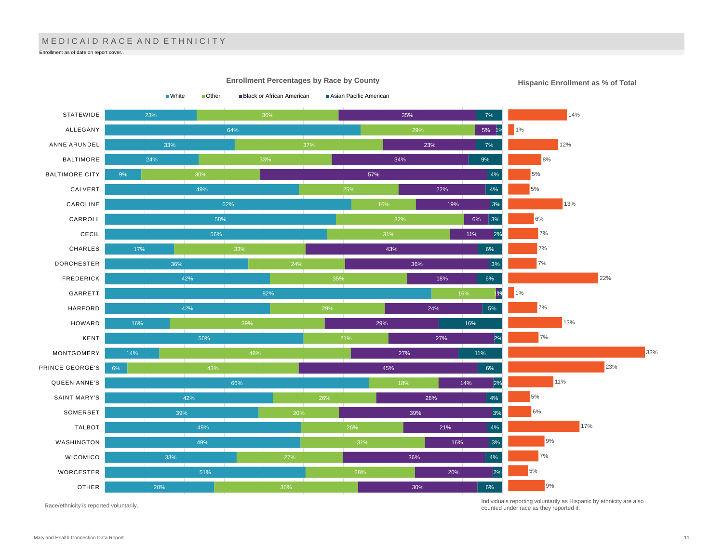# MEDICAID RACE AND ETHNICITY

Enrollment as of date on report cover..

![](_page_10_Figure_2.jpeg)

Race/ethnicity is reported voluntarily.

Individuals reporting voluntarily as Hispanic by ethnicity are also counted under race as they reported it.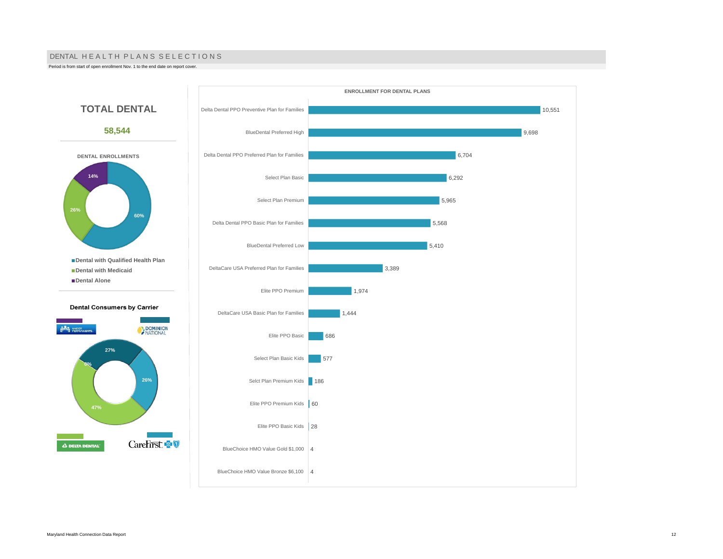#### DENTAL HE A L TH PLANS SELECTIONS

Period is from start of open enrollment Nov. 1 to the end date on report cover.

![](_page_11_Figure_2.jpeg)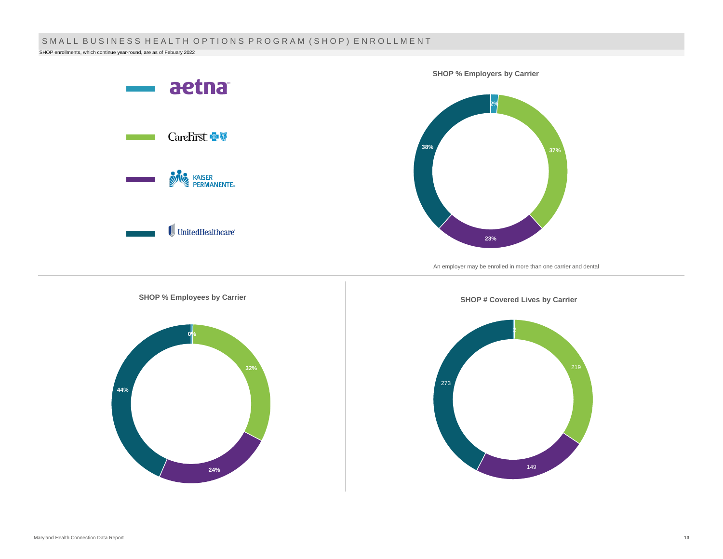## SMALL BUSINESS HEALTH OPTIONS PROGRAM (SHOP) ENROLLMENT

SHOP enrollments, which continue year-round, are as of Febuary 2022

![](_page_12_Figure_2.jpeg)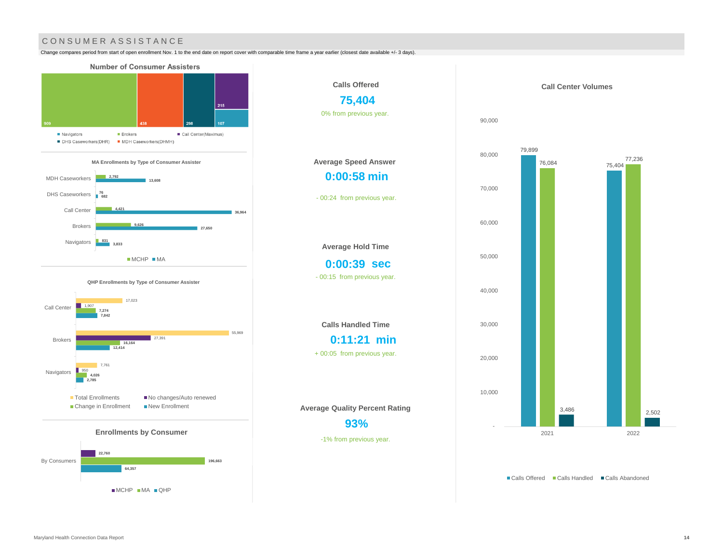## CONSUMER ASSISTANCE

Change compares period from start of open enrollment Nov. 1 to the end date on report cover with comparable time frame a year earlier (closest date available +/- 3 days).

![](_page_13_Figure_2.jpeg)

MCHP MA QHP

![](_page_13_Figure_3.jpeg)

79,899 75,404 76,084 77,236 3,486 2,502 - 10,000 20,000 30,000 40,000 50,000 60,000 70,000 80,000 90,000 2021 2022 **Call Center Volumes**

■ Calls Offered ■ Calls Handled ■ Calls Abandoned